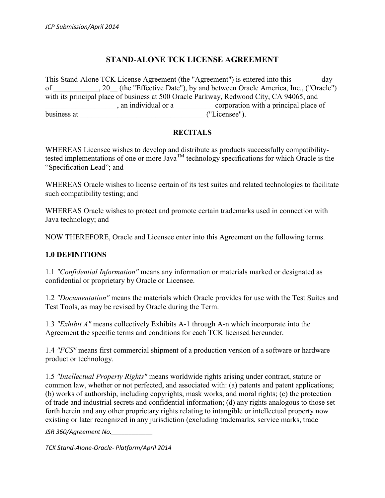## **STAND-ALONE TCK LICENSE AGREEMENT**

This Stand-Alone TCK License Agreement (the "Agreement") is entered into this day of \_\_\_\_\_\_\_\_\_, 20\_ (the "Effective Date"), by and between Oracle America, Inc., ("Oracle") with its principal place of business at 500 Oracle Parkway, Redwood City, CA 94065, and \_\_\_\_\_\_\_\_\_\_\_\_\_\_\_\_\_\_\_, an individual or a \_\_\_\_\_\_\_\_\_\_ corporation with a principal place of business at \_\_\_\_\_\_\_\_\_\_\_\_\_\_\_\_\_\_\_\_\_\_\_\_\_\_\_\_\_\_\_\_\_ ("Licensee").

#### **RECITALS**

WHEREAS Licensee wishes to develop and distribute as products successfully compatibilitytested implementations of one or more  $Java^{TM}$  technology specifications for which Oracle is the "Specification Lead"; and

WHEREAS Oracle wishes to license certain of its test suites and related technologies to facilitate such compatibility testing; and

WHEREAS Oracle wishes to protect and promote certain trademarks used in connection with Java technology; and

NOW THEREFORE, Oracle and Licensee enter into this Agreement on the following terms.

#### **1.0 DEFINITIONS**

1.1 *"Confidential Information"* means any information or materials marked or designated as confidential or proprietary by Oracle or Licensee.

1.2 *"Documentation"* means the materials which Oracle provides for use with the Test Suites and Test Tools, as may be revised by Oracle during the Term.

1.3 *"Exhibit A"* means collectively Exhibits A-1 through A-n which incorporate into the Agreement the specific terms and conditions for each TCK licensed hereunder.

1.4 *"FCS"* means first commercial shipment of a production version of a software or hardware product or technology.

1.5 *"Intellectual Property Rights"* means worldwide rights arising under contract, statute or common law, whether or not perfected, and associated with: (a) patents and patent applications; (b) works of authorship, including copyrights, mask works, and moral rights; (c) the protection of trade and industrial secrets and confidential information; (d) any rights analogous to those set forth herein and any other proprietary rights relating to intangible or intellectual property now existing or later recognized in any jurisdiction (excluding trademarks, service marks, trade

*JSR 360/Agreement No.\_\_\_\_\_\_\_\_\_\_\_\_*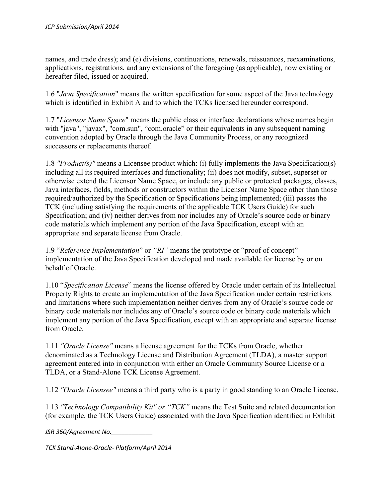names, and trade dress); and (e) divisions, continuations, renewals, reissuances, reexaminations, applications, registrations, and any extensions of the foregoing (as applicable), now existing or hereafter filed, issued or acquired.

1.6 "*Java Specification*" means the written specification for some aspect of the Java technology which is identified in Exhibit A and to which the TCKs licensed hereunder correspond.

1.7 "*Licensor Name Space*" means the public class or interface declarations whose names begin with "java", "javax", "com.sun", "com.oracle" or their equivalents in any subsequent naming convention adopted by Oracle through the Java Community Process, or any recognized successors or replacements thereof.

1.8 *"Product(s)"* means a Licensee product which: (i) fully implements the Java Specification(s) including all its required interfaces and functionality; (ii) does not modify, subset, superset or otherwise extend the Licensor Name Space, or include any public or protected packages, classes, Java interfaces, fields, methods or constructors within the Licensor Name Space other than those required/authorized by the Specification or Specifications being implemented; (iii) passes the TCK (including satisfying the requirements of the applicable TCK Users Guide) for such Specification; and (iv) neither derives from nor includes any of Oracle's source code or binary code materials which implement any portion of the Java Specification, except with an appropriate and separate license from Oracle.

1.9 "*Reference Implementation*" or *"RI"* means the prototype or "proof of concept" implementation of the Java Specification developed and made available for license by or on behalf of Oracle.

1.10 "*Specification License*" means the license offered by Oracle under certain of its Intellectual Property Rights to create an implementation of the Java Specification under certain restrictions and limitations where such implementation neither derives from any of Oracle's source code or binary code materials nor includes any of Oracle's source code or binary code materials which implement any portion of the Java Specification, except with an appropriate and separate license from Oracle.

1.11 *"Oracle License"* means a license agreement for the TCKs from Oracle, whether denominated as a Technology License and Distribution Agreement (TLDA), a master support agreement entered into in conjunction with either an Oracle Community Source License or a TLDA, or a Stand-Alone TCK License Agreement.

1.12 *"Oracle Licensee"* means a third party who is a party in good standing to an Oracle License.

1.13 *"Technology Compatibility Kit" or "TCK"* means the Test Suite and related documentation (for example, the TCK Users Guide) associated with the Java Specification identified in Exhibit

*JSR 360/Agreement No.\_\_\_\_\_\_\_\_\_\_\_\_*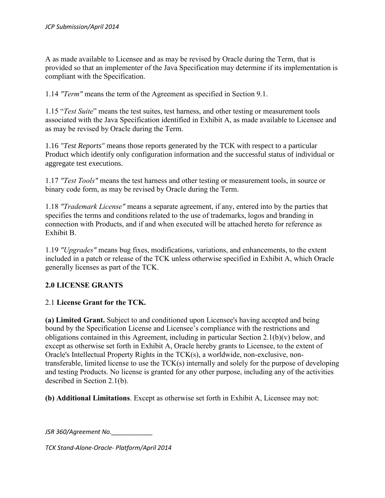A as made available to Licensee and as may be revised by Oracle during the Term, that is provided so that an implementer of the Java Specification may determine if its implementation is compliant with the Specification.

1.14 *"Term"* means the term of the Agreement as specified in Section 9.1.

1.15 "*Test Suite*" means the test suites, test harness, and other testing or measurement tools associated with the Java Specification identified in Exhibit A, as made available to Licensee and as may be revised by Oracle during the Term.

1.16 *"Test Reports"* means those reports generated by the TCK with respect to a particular Product which identify only configuration information and the successful status of individual or aggregate test executions.

1.17 *"Test Tools"* means the test harness and other testing or measurement tools, in source or binary code form, as may be revised by Oracle during the Term.

1.18 *"Trademark License"* means a separate agreement, if any, entered into by the parties that specifies the terms and conditions related to the use of trademarks, logos and branding in connection with Products, and if and when executed will be attached hereto for reference as Exhibit B.

1.19 *"Upgrades"* means bug fixes, modifications, variations, and enhancements, to the extent included in a patch or release of the TCK unless otherwise specified in Exhibit A, which Oracle generally licenses as part of the TCK.

## **2.0 LICENSE GRANTS**

## 2.1 **License Grant for the TCK.**

**(a) Limited Grant.** Subject to and conditioned upon Licensee's having accepted and being bound by the Specification License and Licensee's compliance with the restrictions and obligations contained in this Agreement, including in particular Section 2.1(b)(v) below, and except as otherwise set forth in Exhibit A, Oracle hereby grants to Licensee, to the extent of Oracle's Intellectual Property Rights in the TCK(s), a worldwide, non-exclusive, nontransferable, limited license to use the TCK(s) internally and solely for the purpose of developing and testing Products. No license is granted for any other purpose, including any of the activities described in Section 2.1(b).

**(b) Additional Limitations**. Except as otherwise set forth in Exhibit A, Licensee may not:

*JSR 360/Agreement No.\_\_\_\_\_\_\_\_\_\_\_\_*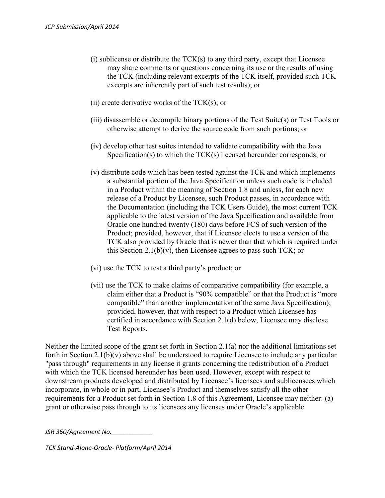- $(i)$  sublicense or distribute the  $TCK(s)$  to any third party, except that Licensee may share comments or questions concerning its use or the results of using the TCK (including relevant excerpts of the TCK itself, provided such TCK excerpts are inherently part of such test results); or
- (ii) create derivative works of the  $TCK(s)$ ; or
- (iii) disassemble or decompile binary portions of the Test Suite(s) or Test Tools or otherwise attempt to derive the source code from such portions; or
- (iv) develop other test suites intended to validate compatibility with the Java Specification(s) to which the TCK(s) licensed hereunder corresponds; or
- (v) distribute code which has been tested against the TCK and which implements a substantial portion of the Java Specification unless such code is included in a Product within the meaning of Section 1.8 and unless, for each new release of a Product by Licensee, such Product passes, in accordance with the Documentation (including the TCK Users Guide), the most current TCK applicable to the latest version of the Java Specification and available from Oracle one hundred twenty (180) days before FCS of such version of the Product; provided, however, that if Licensee elects to use a version of the TCK also provided by Oracle that is newer than that which is required under this Section 2.1(b)(v), then Licensee agrees to pass such TCK; or
- (vi) use the TCK to test a third party's product; or
- (vii) use the TCK to make claims of comparative compatibility (for example, a claim either that a Product is "90% compatible" or that the Product is "more compatible" than another implementation of the same Java Specification); provided, however, that with respect to a Product which Licensee has certified in accordance with Section 2.1(d) below, Licensee may disclose Test Reports.

Neither the limited scope of the grant set forth in Section 2.1(a) nor the additional limitations set forth in Section 2.1(b)(v) above shall be understood to require Licensee to include any particular "pass through" requirements in any license it grants concerning the redistribution of a Product with which the TCK licensed hereunder has been used. However, except with respect to downstream products developed and distributed by Licensee's licensees and sublicensees which incorporate, in whole or in part, Licensee's Product and themselves satisfy all the other requirements for a Product set forth in Section 1.8 of this Agreement, Licensee may neither: (a) grant or otherwise pass through to its licensees any licenses under Oracle's applicable

*JSR 360/Agreement No.\_\_\_\_\_\_\_\_\_\_\_\_*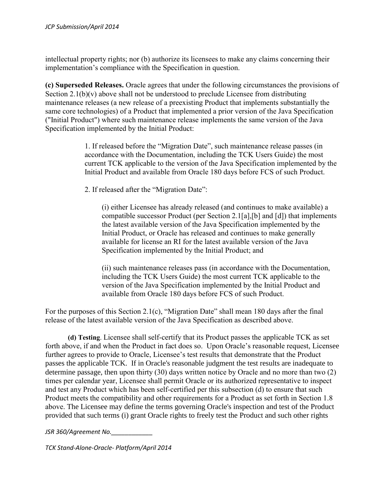intellectual property rights; nor (b) authorize its licensees to make any claims concerning their implementation's compliance with the Specification in question.

**(c) Superseded Releases.** Oracle agrees that under the following circumstances the provisions of Section  $2.1(b)(v)$  above shall not be understood to preclude Licensee from distributing maintenance releases (a new release of a preexisting Product that implements substantially the same core technologies) of a Product that implemented a prior version of the Java Specification ("Initial Product") where such maintenance release implements the same version of the Java Specification implemented by the Initial Product:

> 1. If released before the "Migration Date", such maintenance release passes (in accordance with the Documentation, including the TCK Users Guide) the most current TCK applicable to the version of the Java Specification implemented by the Initial Product and available from Oracle 180 days before FCS of such Product.

2. If released after the "Migration Date":

(i) either Licensee has already released (and continues to make available) a compatible successor Product (per Section 2.1[a],[b] and [d]) that implements the latest available version of the Java Specification implemented by the Initial Product, or Oracle has released and continues to make generally available for license an RI for the latest available version of the Java Specification implemented by the Initial Product; and

(ii) such maintenance releases pass (in accordance with the Documentation, including the TCK Users Guide) the most current TCK applicable to the version of the Java Specification implemented by the Initial Product and available from Oracle 180 days before FCS of such Product.

For the purposes of this Section 2.1(c), "Migration Date" shall mean 180 days after the final release of the latest available version of the Java Specification as described above.

**(d) Testing**. Licensee shall self-certify that its Product passes the applicable TCK as set forth above, if and when the Product in fact does so. Upon Oracle's reasonable request, Licensee further agrees to provide to Oracle, Licensee's test results that demonstrate that the Product passes the applicable TCK. If in Oracle's reasonable judgment the test results are inadequate to determine passage, then upon thirty (30) days written notice by Oracle and no more than two (2) times per calendar year, Licensee shall permit Oracle or its authorized representative to inspect and test any Product which has been self-certified per this subsection (d) to ensure that such Product meets the compatibility and other requirements for a Product as set forth in Section 1.8 above. The Licensee may define the terms governing Oracle's inspection and test of the Product provided that such terms (i) grant Oracle rights to freely test the Product and such other rights

*JSR 360/Agreement No.\_\_\_\_\_\_\_\_\_\_\_\_*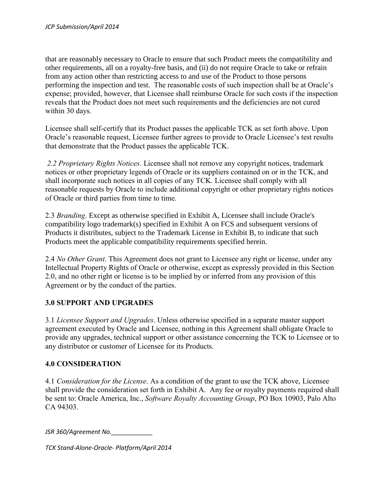that are reasonably necessary to Oracle to ensure that such Product meets the compatibility and other requirements, all on a royalty-free basis, and (ii) do not require Oracle to take or refrain from any action other than restricting access to and use of the Product to those persons performing the inspection and test. The reasonable costs of such inspection shall be at Oracle's expense; provided, however, that Licensee shall reimburse Oracle for such costs if the inspection reveals that the Product does not meet such requirements and the deficiencies are not cured within 30 days.

Licensee shall self-certify that its Product passes the applicable TCK as set forth above. Upon Oracle's reasonable request, Licensee further agrees to provide to Oracle Licensee's test results that demonstrate that the Product passes the applicable TCK.

*2.2 Proprietary Rights Notices*. Licensee shall not remove any copyright notices, trademark notices or other proprietary legends of Oracle or its suppliers contained on or in the TCK, and shall incorporate such notices in all copies of any TCK. Licensee shall comply with all reasonable requests by Oracle to include additional copyright or other proprietary rights notices of Oracle or third parties from time to time.

2.3 *Branding*. Except as otherwise specified in Exhibit A, Licensee shall include Oracle's compatibility logo trademark(s) specified in Exhibit A on FCS and subsequent versions of Products it distributes, subject to the Trademark License in Exhibit B, to indicate that such Products meet the applicable compatibility requirements specified herein.

2.4 *No Other Grant*. This Agreement does not grant to Licensee any right or license, under any Intellectual Property Rights of Oracle or otherwise, except as expressly provided in this Section 2.0, and no other right or license is to be implied by or inferred from any provision of this Agreement or by the conduct of the parties.

## **3.0 SUPPORT AND UPGRADES**

3.1 *Licensee Support and Upgrades*. Unless otherwise specified in a separate master support agreement executed by Oracle and Licensee, nothing in this Agreement shall obligate Oracle to provide any upgrades, technical support or other assistance concerning the TCK to Licensee or to any distributor or customer of Licensee for its Products.

#### **4.0 CONSIDERATION**

4.1 *Consideration for the License*. As a condition of the grant to use the TCK above, Licensee shall provide the consideration set forth in Exhibit A. Any fee or royalty payments required shall be sent to: Oracle America, Inc., *Software Royalty Accounting Group*, PO Box 10903, Palo Alto CA 94303.

*JSR 360/Agreement No.\_\_\_\_\_\_\_\_\_\_\_\_*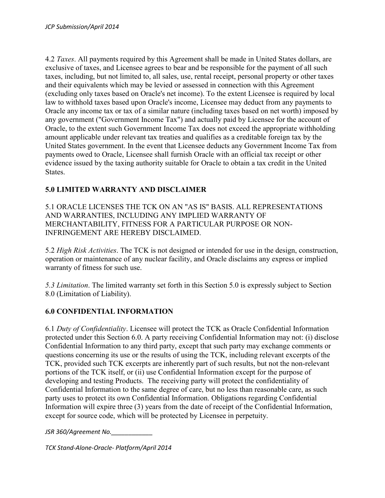4.2 *Taxes*. All payments required by this Agreement shall be made in United States dollars, are exclusive of taxes, and Licensee agrees to bear and be responsible for the payment of all such taxes, including, but not limited to, all sales, use, rental receipt, personal property or other taxes and their equivalents which may be levied or assessed in connection with this Agreement (excluding only taxes based on Oracle's net income). To the extent Licensee is required by local law to withhold taxes based upon Oracle's income, Licensee may deduct from any payments to Oracle any income tax or tax of a similar nature (including taxes based on net worth) imposed by any government ("Government Income Tax") and actually paid by Licensee for the account of Oracle, to the extent such Government Income Tax does not exceed the appropriate withholding amount applicable under relevant tax treaties and qualifies as a creditable foreign tax by the United States government. In the event that Licensee deducts any Government Income Tax from payments owed to Oracle, Licensee shall furnish Oracle with an official tax receipt or other evidence issued by the taxing authority suitable for Oracle to obtain a tax credit in the United States.

## **5.0 LIMITED WARRANTY AND DISCLAIMER**

5.1 ORACLE LICENSES THE TCK ON AN "AS IS" BASIS. ALL REPRESENTATIONS AND WARRANTIES, INCLUDING ANY IMPLIED WARRANTY OF MERCHANTABILITY, FITNESS FOR A PARTICULAR PURPOSE OR NON-INFRINGEMENT ARE HEREBY DISCLAIMED.

5.2 *High Risk Activities*. The TCK is not designed or intended for use in the design, construction, operation or maintenance of any nuclear facility, and Oracle disclaims any express or implied warranty of fitness for such use.

*5.3 Limitation*. The limited warranty set forth in this Section 5.0 is expressly subject to Section 8.0 (Limitation of Liability).

## **6.0 CONFIDENTIAL INFORMATION**

6.1 *Duty of Confidentiality*. Licensee will protect the TCK as Oracle Confidential Information protected under this Section 6.0. A party receiving Confidential Information may not: (i) disclose Confidential Information to any third party, except that such party may exchange comments or questions concerning its use or the results of using the TCK, including relevant excerpts of the TCK, provided such TCK excerpts are inherently part of such results, but not the non-relevant portions of the TCK itself, or (ii) use Confidential Information except for the purpose of developing and testing Products. The receiving party will protect the confidentiality of Confidential Information to the same degree of care, but no less than reasonable care, as such party uses to protect its own Confidential Information. Obligations regarding Confidential Information will expire three (3) years from the date of receipt of the Confidential Information, except for source code, which will be protected by Licensee in perpetuity.

*JSR 360/Agreement No.\_\_\_\_\_\_\_\_\_\_\_\_*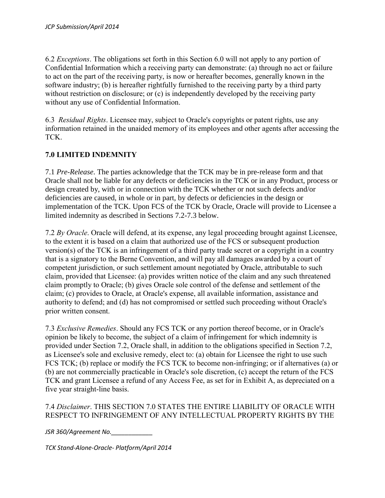6.2 *Exceptions*. The obligations set forth in this Section 6.0 will not apply to any portion of Confidential Information which a receiving party can demonstrate: (a) through no act or failure to act on the part of the receiving party, is now or hereafter becomes, generally known in the software industry; (b) is hereafter rightfully furnished to the receiving party by a third party without restriction on disclosure; or (c) is independently developed by the receiving party without any use of Confidential Information.

6.3 *Residual Rights*. Licensee may, subject to Oracle's copyrights or patent rights, use any information retained in the unaided memory of its employees and other agents after accessing the TCK.

## **7.0 LIMITED INDEMNITY**

7.1 *Pre-Release*. The parties acknowledge that the TCK may be in pre-release form and that Oracle shall not be liable for any defects or deficiencies in the TCK or in any Product, process or design created by, with or in connection with the TCK whether or not such defects and/or deficiencies are caused, in whole or in part, by defects or deficiencies in the design or implementation of the TCK. Upon FCS of the TCK by Oracle, Oracle will provide to Licensee a limited indemnity as described in Sections 7.2-7.3 below.

7.2 *By Oracle*. Oracle will defend, at its expense, any legal proceeding brought against Licensee, to the extent it is based on a claim that authorized use of the FCS or subsequent production version(s) of the TCK is an infringement of a third party trade secret or a copyright in a country that is a signatory to the Berne Convention, and will pay all damages awarded by a court of competent jurisdiction, or such settlement amount negotiated by Oracle, attributable to such claim, provided that Licensee: (a) provides written notice of the claim and any such threatened claim promptly to Oracle; (b) gives Oracle sole control of the defense and settlement of the claim; (c) provides to Oracle, at Oracle's expense, all available information, assistance and authority to defend; and (d) has not compromised or settled such proceeding without Oracle's prior written consent.

7.3 *Exclusive Remedies*. Should any FCS TCK or any portion thereof become, or in Oracle's opinion be likely to become, the subject of a claim of infringement for which indemnity is provided under Section 7.2, Oracle shall, in addition to the obligations specified in Section 7.2, as Licensee's sole and exclusive remedy, elect to: (a) obtain for Licensee the right to use such FCS TCK; (b) replace or modify the FCS TCK to become non-infringing; or if alternatives (a) or (b) are not commercially practicable in Oracle's sole discretion, (c) accept the return of the FCS TCK and grant Licensee a refund of any Access Fee, as set for in Exhibit A, as depreciated on a five year straight-line basis.

#### 7.4 *Disclaimer*. THIS SECTION 7.0 STATES THE ENTIRE LIABILITY OF ORACLE WITH RESPECT TO INFRINGEMENT OF ANY INTELLECTUAL PROPERTY RIGHTS BY THE

*JSR 360/Agreement No.\_\_\_\_\_\_\_\_\_\_\_\_*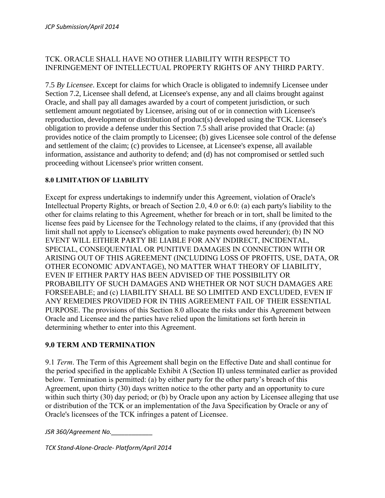## TCK. ORACLE SHALL HAVE NO OTHER LIABILITY WITH RESPECT TO INFRINGEMENT OF INTELLECTUAL PROPERTY RIGHTS OF ANY THIRD PARTY.

7.5 *By Licensee*. Except for claims for which Oracle is obligated to indemnify Licensee under Section 7.2, Licensee shall defend, at Licensee's expense, any and all claims brought against Oracle, and shall pay all damages awarded by a court of competent jurisdiction, or such settlement amount negotiated by Licensee, arising out of or in connection with Licensee's reproduction, development or distribution of product(s) developed using the TCK. Licensee's obligation to provide a defense under this Section 7.5 shall arise provided that Oracle: (a) provides notice of the claim promptly to Licensee; (b) gives Licensee sole control of the defense and settlement of the claim; (c) provides to Licensee, at Licensee's expense, all available information, assistance and authority to defend; and (d) has not compromised or settled such proceeding without Licensee's prior written consent.

#### **8.0 LIMITATION OF LIABILITY**

Except for express undertakings to indemnify under this Agreement, violation of Oracle's Intellectual Property Rights, or breach of Section 2.0, 4.0 or 6.0: (a) each party's liability to the other for claims relating to this Agreement, whether for breach or in tort, shall be limited to the license fees paid by Licensee for the Technology related to the claims, if any (provided that this limit shall not apply to Licensee's obligation to make payments owed hereunder); (b) IN NO EVENT WILL EITHER PARTY BE LIABLE FOR ANY INDIRECT, INCIDENTAL, SPECIAL, CONSEQUENTIAL OR PUNITIVE DAMAGES IN CONNECTION WITH OR ARISING OUT OF THIS AGREEMENT (INCLUDING LOSS OF PROFITS, USE, DATA, OR OTHER ECONOMIC ADVANTAGE), NO MATTER WHAT THEORY OF LIABILITY, EVEN IF EITHER PARTY HAS BEEN ADVISED OF THE POSSIBILITY OR PROBABILITY OF SUCH DAMAGES AND WHETHER OR NOT SUCH DAMAGES ARE FORSEEABLE; and (c) LIABILITY SHALL BE SO LIMITED AND EXCLUDED, EVEN IF ANY REMEDIES PROVIDED FOR IN THIS AGREEMENT FAIL OF THEIR ESSENTIAL PURPOSE. The provisions of this Section 8.0 allocate the risks under this Agreement between Oracle and Licensee and the parties have relied upon the limitations set forth herein in determining whether to enter into this Agreement.

#### **9.0 TERM AND TERMINATION**

9.1 *Term*. The Term of this Agreement shall begin on the Effective Date and shall continue for the period specified in the applicable Exhibit A (Section II) unless terminated earlier as provided below. Termination is permitted: (a) by either party for the other party's breach of this Agreement, upon thirty (30) days written notice to the other party and an opportunity to cure within such thirty (30) day period; or (b) by Oracle upon any action by Licensee alleging that use or distribution of the TCK or an implementation of the Java Specification by Oracle or any of Oracle's licensees of the TCK infringes a patent of Licensee.

*JSR 360/Agreement No.\_\_\_\_\_\_\_\_\_\_\_\_*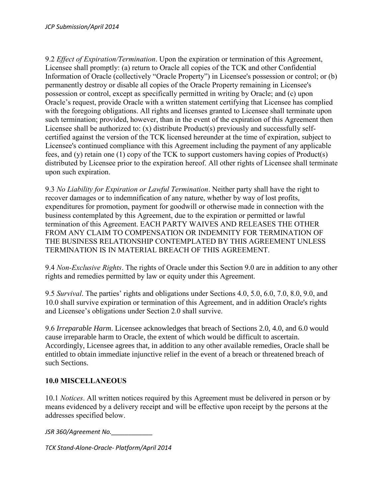9.2 *Effect of Expiration/Termination*. Upon the expiration or termination of this Agreement, Licensee shall promptly: (a) return to Oracle all copies of the TCK and other Confidential Information of Oracle (collectively "Oracle Property") in Licensee's possession or control; or (b) permanently destroy or disable all copies of the Oracle Property remaining in Licensee's possession or control, except as specifically permitted in writing by Oracle; and (c) upon Oracle's request, provide Oracle with a written statement certifying that Licensee has complied with the foregoing obligations. All rights and licenses granted to Licensee shall terminate upon such termination; provided, however, than in the event of the expiration of this Agreement then Licensee shall be authorized to: (x) distribute Product(s) previously and successfully selfcertified against the version of the TCK licensed hereunder at the time of expiration, subject to Licensee's continued compliance with this Agreement including the payment of any applicable fees, and (y) retain one (1) copy of the TCK to support customers having copies of Product(s) distributed by Licensee prior to the expiration hereof. All other rights of Licensee shall terminate upon such expiration.

9.3 *No Liability for Expiration or Lawful Termination*. Neither party shall have the right to recover damages or to indemnification of any nature, whether by way of lost profits, expenditures for promotion, payment for goodwill or otherwise made in connection with the business contemplated by this Agreement, due to the expiration or permitted or lawful termination of this Agreement. EACH PARTY WAIVES AND RELEASES THE OTHER FROM ANY CLAIM TO COMPENSATION OR INDEMNITY FOR TERMINATION OF THE BUSINESS RELATIONSHIP CONTEMPLATED BY THIS AGREEMENT UNLESS TERMINATION IS IN MATERIAL BREACH OF THIS AGREEMENT.

9.4 *Non-Exclusive Rights*. The rights of Oracle under this Section 9.0 are in addition to any other rights and remedies permitted by law or equity under this Agreement.

9.5 *Survival*. The parties' rights and obligations under Sections 4.0, 5.0, 6.0, 7.0, 8.0, 9.0, and 10.0 shall survive expiration or termination of this Agreement, and in addition Oracle's rights and Licensee's obligations under Section 2.0 shall survive.

9.6 *Irreparable Harm*. Licensee acknowledges that breach of Sections 2.0, 4.0, and 6.0 would cause irreparable harm to Oracle, the extent of which would be difficult to ascertain. Accordingly, Licensee agrees that, in addition to any other available remedies, Oracle shall be entitled to obtain immediate injunctive relief in the event of a breach or threatened breach of such Sections.

## **10.0 MISCELLANEOUS**

10.1 *Notices*. All written notices required by this Agreement must be delivered in person or by means evidenced by a delivery receipt and will be effective upon receipt by the persons at the addresses specified below.

*JSR 360/Agreement No.\_\_\_\_\_\_\_\_\_\_\_\_*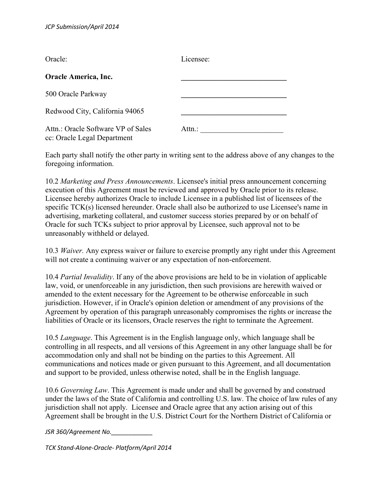| Oracle:                                                           | Licensee: |
|-------------------------------------------------------------------|-----------|
| Oracle America, Inc.                                              |           |
| 500 Oracle Parkway                                                |           |
| Redwood City, California 94065                                    |           |
| Attn.: Oracle Software VP of Sales<br>cc: Oracle Legal Department | Attn.:    |

Each party shall notify the other party in writing sent to the address above of any changes to the foregoing information.

10.2 *Marketing and Press Announcements*. Licensee's initial press announcement concerning execution of this Agreement must be reviewed and approved by Oracle prior to its release. Licensee hereby authorizes Oracle to include Licensee in a published list of licensees of the specific TCK(s) licensed hereunder. Oracle shall also be authorized to use Licensee's name in advertising, marketing collateral, and customer success stories prepared by or on behalf of Oracle for such TCKs subject to prior approval by Licensee, such approval not to be unreasonably withheld or delayed.

10.3 *Waiver.* Any express waiver or failure to exercise promptly any right under this Agreement will not create a continuing waiver or any expectation of non-enforcement.

10.4 *Partial Invalidity*. If any of the above provisions are held to be in violation of applicable law, void, or unenforceable in any jurisdiction, then such provisions are herewith waived or amended to the extent necessary for the Agreement to be otherwise enforceable in such jurisdiction. However, if in Oracle's opinion deletion or amendment of any provisions of the Agreement by operation of this paragraph unreasonably compromises the rights or increase the liabilities of Oracle or its licensors, Oracle reserves the right to terminate the Agreement.

10.5 *Language*. This Agreement is in the English language only, which language shall be controlling in all respects, and all versions of this Agreement in any other language shall be for accommodation only and shall not be binding on the parties to this Agreement. All communications and notices made or given pursuant to this Agreement, and all documentation and support to be provided, unless otherwise noted, shall be in the English language.

10.6 *Governing Law*. This Agreement is made under and shall be governed by and construed under the laws of the State of California and controlling U.S. law. The choice of law rules of any jurisdiction shall not apply. Licensee and Oracle agree that any action arising out of this Agreement shall be brought in the U.S. District Court for the Northern District of California or

*JSR 360/Agreement No.\_\_\_\_\_\_\_\_\_\_\_\_*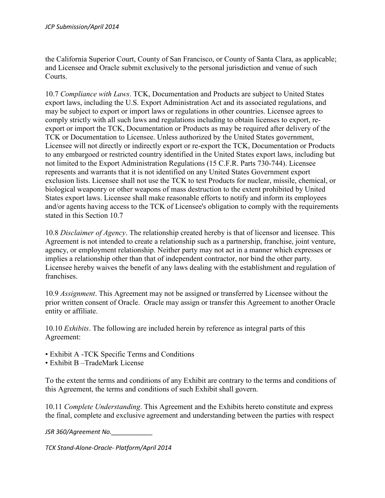the California Superior Court, County of San Francisco, or County of Santa Clara, as applicable; and Licensee and Oracle submit exclusively to the personal jurisdiction and venue of such Courts.

10.7 *Compliance with Laws*. TCK, Documentation and Products are subject to United States export laws, including the U.S. Export Administration Act and its associated regulations, and may be subject to export or import laws or regulations in other countries. Licensee agrees to comply strictly with all such laws and regulations including to obtain licenses to export, reexport or import the TCK, Documentation or Products as may be required after delivery of the TCK or Documentation to Licensee. Unless authorized by the United States government, Licensee will not directly or indirectly export or re-export the TCK, Documentation or Products to any embargoed or restricted country identified in the United States export laws, including but not limited to the Export Administration Regulations (15 C.F.R. Parts 730-744). Licensee represents and warrants that it is not identified on any United States Government export exclusion lists. Licensee shall not use the TCK to test Products for nuclear, missile, chemical, or biological weaponry or other weapons of mass destruction to the extent prohibited by United States export laws. Licensee shall make reasonable efforts to notify and inform its employees and/or agents having access to the TCK of Licensee's obligation to comply with the requirements stated in this Section 10.7

10.8 *Disclaimer of Agency*. The relationship created hereby is that of licensor and licensee. This Agreement is not intended to create a relationship such as a partnership, franchise, joint venture, agency, or employment relationship. Neither party may not act in a manner which expresses or implies a relationship other than that of independent contractor, nor bind the other party. Licensee hereby waives the benefit of any laws dealing with the establishment and regulation of **franchises** 

10.9 *Assignment*. This Agreement may not be assigned or transferred by Licensee without the prior written consent of Oracle. Oracle may assign or transfer this Agreement to another Oracle entity or affiliate.

10.10 *Exhibits*. The following are included herein by reference as integral parts of this Agreement:

- Exhibit A -TCK Specific Terms and Conditions
- Exhibit B –TradeMark License

To the extent the terms and conditions of any Exhibit are contrary to the terms and conditions of this Agreement, the terms and conditions of such Exhibit shall govern.

10.11 *Complete Understanding*. This Agreement and the Exhibits hereto constitute and express the final, complete and exclusive agreement and understanding between the parties with respect

*JSR 360/Agreement No.\_\_\_\_\_\_\_\_\_\_\_\_*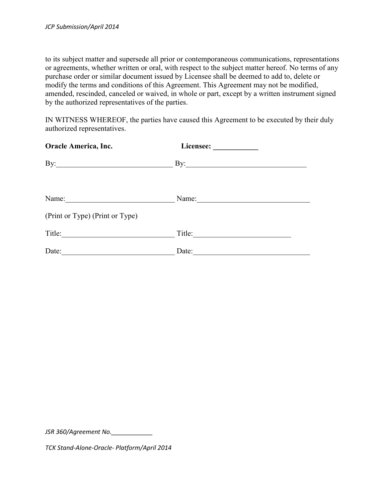to its subject matter and supersede all prior or contemporaneous communications, representations or agreements, whether written or oral, with respect to the subject matter hereof. No terms of any purchase order or similar document issued by Licensee shall be deemed to add to, delete or modify the terms and conditions of this Agreement. This Agreement may not be modified, amended, rescinded, canceled or waived, in whole or part, except by a written instrument signed by the authorized representatives of the parties.

IN WITNESS WHEREOF, the parties have caused this Agreement to be executed by their duly authorized representatives.

| <b>Oracle America, Inc.</b>     |                       |
|---------------------------------|-----------------------|
| $\mathbf{B}$ y:                 | $\mathbf{By:}$        |
| Name:                           | Name: $\qquad \qquad$ |
| (Print or Type) (Print or Type) |                       |
| Title:                          | Title:                |
| Date:                           | Date:                 |

*JSR 360/Agreement No.\_\_\_\_\_\_\_\_\_\_\_\_*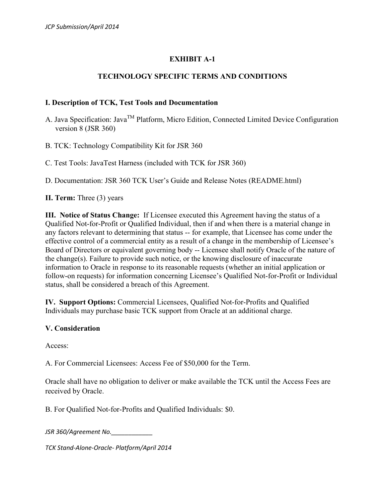## **EXHIBIT A-1**

### **TECHNOLOGY SPECIFIC TERMS AND CONDITIONS**

#### **I. Description of TCK, Test Tools and Documentation**

- A. Java Specification: Java<sup>™</sup> Platform, Micro Edition, Connected Limited Device Configuration version 8 (JSR 360)
- B. TCK: Technology Compatibility Kit for JSR 360
- C. Test Tools: JavaTest Harness (included with TCK for JSR 360)

D. Documentation: JSR 360 TCK User's Guide and Release Notes (README.html)

**II. Term:** Three (3) years

**III. Notice of Status Change:** If Licensee executed this Agreement having the status of a Qualified Not-for-Profit or Qualified Individual, then if and when there is a material change in any factors relevant to determining that status -- for example, that Licensee has come under the effective control of a commercial entity as a result of a change in the membership of Licensee's Board of Directors or equivalent governing body -- Licensee shall notify Oracle of the nature of the change(s). Failure to provide such notice, or the knowing disclosure of inaccurate information to Oracle in response to its reasonable requests (whether an initial application or follow-on requests) for information concerning Licensee's Qualified Not-for-Profit or Individual status, shall be considered a breach of this Agreement.

**IV. Support Options:** Commercial Licensees, Qualified Not-for-Profits and Qualified Individuals may purchase basic TCK support from Oracle at an additional charge.

#### **V. Consideration**

Access:

A. For Commercial Licensees: Access Fee of \$50,000 for the Term.

Oracle shall have no obligation to deliver or make available the TCK until the Access Fees are received by Oracle.

B. For Qualified Not-for-Profits and Qualified Individuals: \$0.

*JSR 360/Agreement No.\_\_\_\_\_\_\_\_\_\_\_\_*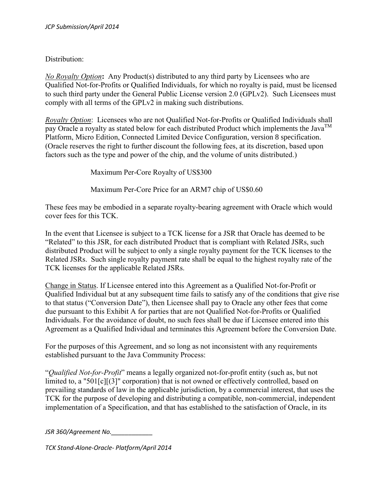### Distribution:

*No Royalty Option***:** Any Product(s) distributed to any third party by Licensees who are Qualified Not-for-Profits or Qualified Individuals, for which no royalty is paid, must be licensed to such third party under the General Public License version 2.0 (GPLv2). Such Licensees must comply with all terms of the GPLv2 in making such distributions.

*Royalty Option*: Licensees who are not Qualified Not-for-Profits or Qualified Individuals shall pay Oracle a royalty as stated below for each distributed Product which implements the Java<sup>TM</sup> Platform, Micro Edition, Connected Limited Device Configuration, version 8 specification. (Oracle reserves the right to further discount the following fees, at its discretion, based upon factors such as the type and power of the chip, and the volume of units distributed.)

Maximum Per-Core Royalty of US\$300

Maximum Per-Core Price for an ARM7 chip of US\$0.60

These fees may be embodied in a separate royalty-bearing agreement with Oracle which would cover fees for this TCK.

In the event that Licensee is subject to a TCK license for a JSR that Oracle has deemed to be "Related" to this JSR, for each distributed Product that is compliant with Related JSRs, such distributed Product will be subject to only a single royalty payment for the TCK licenses to the Related JSRs. Such single royalty payment rate shall be equal to the highest royalty rate of the TCK licenses for the applicable Related JSRs.

Change in Status. If Licensee entered into this Agreement as a Qualified Not-for-Profit or Qualified Individual but at any subsequent time fails to satisfy any of the conditions that give rise to that status ("Conversion Date"), then Licensee shall pay to Oracle any other fees that come due pursuant to this Exhibit A for parties that are not Qualified Not-for-Profits or Qualified Individuals. For the avoidance of doubt, no such fees shall be due if Licensee entered into this Agreement as a Qualified Individual and terminates this Agreement before the Conversion Date.

For the purposes of this Agreement, and so long as not inconsistent with any requirements established pursuant to the Java Community Process:

"*Qualified Not-for-Profit*" means a legally organized not-for-profit entity (such as, but not limited to, a "501[c][(3]" corporation) that is not owned or effectively controlled, based on prevailing standards of law in the applicable jurisdiction, by a commercial interest, that uses the TCK for the purpose of developing and distributing a compatible, non-commercial, independent implementation of a Specification, and that has established to the satisfaction of Oracle, in its

*JSR 360/Agreement No.\_\_\_\_\_\_\_\_\_\_\_\_*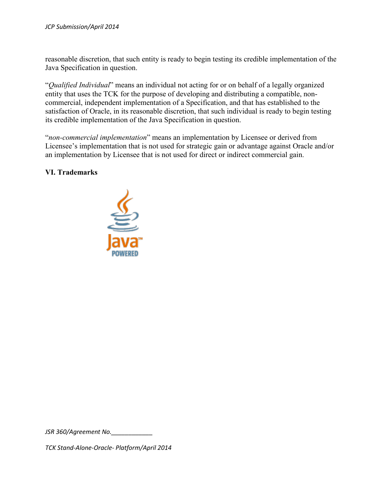reasonable discretion, that such entity is ready to begin testing its credible implementation of the Java Specification in question.

"*Qualified Individual*" means an individual not acting for or on behalf of a legally organized entity that uses the TCK for the purpose of developing and distributing a compatible, noncommercial, independent implementation of a Specification, and that has established to the satisfaction of Oracle, in its reasonable discretion, that such individual is ready to begin testing its credible implementation of the Java Specification in question.

"*non-commercial implementation*" means an implementation by Licensee or derived from Licensee's implementation that is not used for strategic gain or advantage against Oracle and/or an implementation by Licensee that is not used for direct or indirect commercial gain.

#### **VI. Trademarks**



*JSR 360/Agreement No.\_\_\_\_\_\_\_\_\_\_\_\_*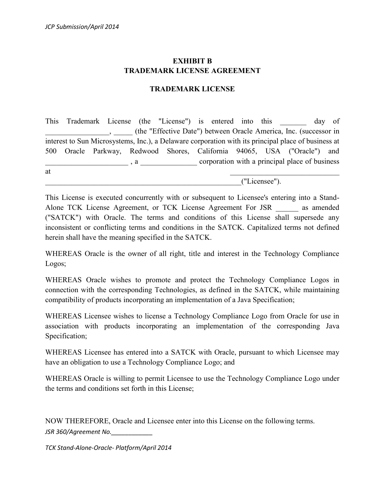## **EXHIBIT B TRADEMARK LICENSE AGREEMENT**

#### **TRADEMARK LICENSE**

This Trademark License (the "License") is entered into this day of \_\_\_\_\_\_\_\_\_\_\_\_\_\_\_\_\_, \_\_\_\_\_ (the "Effective Date") between Oracle America, Inc. (successor in interest to Sun Microsystems, Inc.), a Delaware corporation with its principal place of business at 500 Oracle Parkway, Redwood Shores, California 94065, USA ("Oracle") and \_\_\_\_\_\_\_\_\_\_\_\_\_\_\_\_\_\_\_\_\_\_ , a \_\_\_\_\_\_\_\_\_\_\_\_\_\_\_ corporation with a principal place of business at  $\overline{a}$ 

\_\_\_\_\_\_\_\_\_\_\_\_\_\_\_\_\_\_\_\_\_\_\_\_\_\_\_\_\_\_\_\_\_\_\_\_\_\_\_\_\_\_\_\_\_\_\_\_\_\_\_\_("Licensee").

This License is executed concurrently with or subsequent to Licensee's entering into a Stand-Alone TCK License Agreement, or TCK License Agreement For JSR as amended ("SATCK") with Oracle. The terms and conditions of this License shall supersede any inconsistent or conflicting terms and conditions in the SATCK. Capitalized terms not defined herein shall have the meaning specified in the SATCK.

WHEREAS Oracle is the owner of all right, title and interest in the Technology Compliance Logos;

WHEREAS Oracle wishes to promote and protect the Technology Compliance Logos in connection with the corresponding Technologies, as defined in the SATCK, while maintaining compatibility of products incorporating an implementation of a Java Specification;

WHEREAS Licensee wishes to license a Technology Compliance Logo from Oracle for use in association with products incorporating an implementation of the corresponding Java Specification;

WHEREAS Licensee has entered into a SATCK with Oracle, pursuant to which Licensee may have an obligation to use a Technology Compliance Logo; and

WHEREAS Oracle is willing to permit Licensee to use the Technology Compliance Logo under the terms and conditions set forth in this License;

*JSR 360/Agreement No.\_\_\_\_\_\_\_\_\_\_\_\_* NOW THEREFORE, Oracle and Licensee enter into this License on the following terms.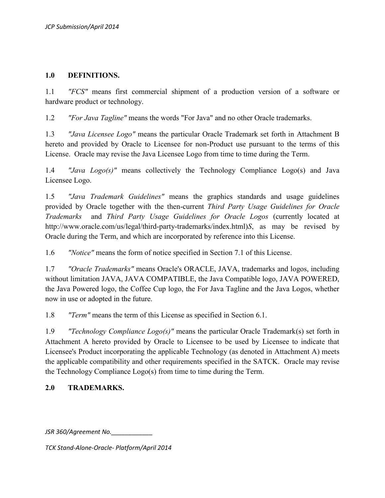#### **1.0 DEFINITIONS.**

1.1 *"FCS"* means first commercial shipment of a production version of a software or hardware product or technology.

1.2 *"For Java Tagline"* means the words "For Java" and no other Oracle trademarks.

1.3 *"Java Licensee Logo"* means the particular Oracle Trademark set forth in Attachment B hereto and provided by Oracle to Licensee for non-Product use pursuant to the terms of this License. Oracle may revise the Java Licensee Logo from time to time during the Term.

1.4 *"Java Logo(s)"* means collectively the Technology Compliance Logo(s) and Java Licensee Logo.

1.5 *"Java Trademark Guidelines"* means the graphics standards and usage guidelines provided by Oracle together with the then-current *Third Party Usage Guidelines for Oracle Trademarks* and *Third Party Usage Guidelines for Oracle Logos* (currently located at http://www.oracle.com/us/legal/third-party-trademarks/index.html)*S*, as may be revised by Oracle during the Term, and which are incorporated by reference into this License.

1.6 *"Notice"* means the form of notice specified in Section 7.1 of this License.

1.7 *"Oracle Trademarks"* means Oracle's ORACLE, JAVA, trademarks and logos, including without limitation JAVA, JAVA COMPATIBLE, the Java Compatible logo, JAVA POWERED, the Java Powered logo, the Coffee Cup logo, the For Java Tagline and the Java Logos, whether now in use or adopted in the future.

1.8 *"Term"* means the term of this License as specified in Section 6.1.

1.9 *"Technology Compliance Logo(s)"* means the particular Oracle Trademark(s) set forth in Attachment A hereto provided by Oracle to Licensee to be used by Licensee to indicate that Licensee's Product incorporating the applicable Technology (as denoted in Attachment A) meets the applicable compatibility and other requirements specified in the SATCK. Oracle may revise the Technology Compliance Logo(s) from time to time during the Term.

## **2.0 TRADEMARKS.**

*JSR 360/Agreement No.\_\_\_\_\_\_\_\_\_\_\_\_*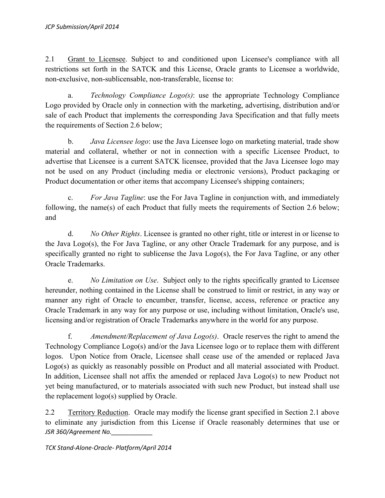2.1 Grant to Licensee. Subject to and conditioned upon Licensee's compliance with all restrictions set forth in the SATCK and this License, Oracle grants to Licensee a worldwide, non-exclusive, non-sublicensable, non-transferable, license to:

a. *Technology Compliance Logo(s)*: use the appropriate Technology Compliance Logo provided by Oracle only in connection with the marketing, advertising, distribution and/or sale of each Product that implements the corresponding Java Specification and that fully meets the requirements of Section 2.6 below;

b. *Java Licensee logo*: use the Java Licensee logo on marketing material, trade show material and collateral, whether or not in connection with a specific Licensee Product, to advertise that Licensee is a current SATCK licensee, provided that the Java Licensee logo may not be used on any Product (including media or electronic versions), Product packaging or Product documentation or other items that accompany Licensee's shipping containers;

c. *For Java Tagline*: use the For Java Tagline in conjunction with, and immediately following, the name(s) of each Product that fully meets the requirements of Section 2.6 below; and

d. *No Other Rights*. Licensee is granted no other right, title or interest in or license to the Java Logo(s), the For Java Tagline, or any other Oracle Trademark for any purpose, and is specifically granted no right to sublicense the Java Logo(s), the For Java Tagline, or any other Oracle Trademarks.

e. *No Limitation on Use*. Subject only to the rights specifically granted to Licensee hereunder, nothing contained in the License shall be construed to limit or restrict, in any way or manner any right of Oracle to encumber, transfer, license, access, reference or practice any Oracle Trademark in any way for any purpose or use, including without limitation, Oracle's use, licensing and/or registration of Oracle Trademarks anywhere in the world for any purpose.

f. *Amendment/Replacement of Java Logo(s)*. Oracle reserves the right to amend the Technology Compliance Logo(s) and/or the Java Licensee logo or to replace them with different logos. Upon Notice from Oracle, Licensee shall cease use of the amended or replaced Java Logo(s) as quickly as reasonably possible on Product and all material associated with Product. In addition, Licensee shall not affix the amended or replaced Java Logo(s) to new Product not yet being manufactured, or to materials associated with such new Product, but instead shall use the replacement logo(s) supplied by Oracle.

*JSR 360/Agreement No.\_\_\_\_\_\_\_\_\_\_\_\_* 2.2 Territory Reduction. Oracle may modify the license grant specified in Section 2.1 above to eliminate any jurisdiction from this License if Oracle reasonably determines that use or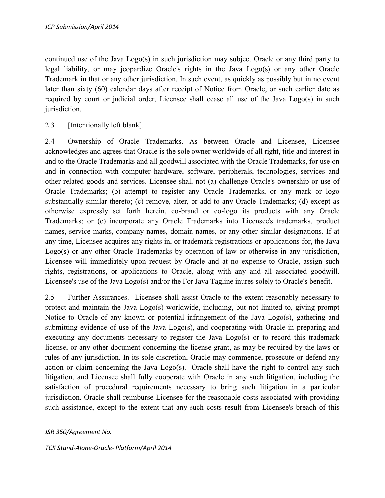continued use of the Java Logo(s) in such jurisdiction may subject Oracle or any third party to legal liability, or may jeopardize Oracle's rights in the Java Logo(s) or any other Oracle Trademark in that or any other jurisdiction. In such event, as quickly as possibly but in no event later than sixty (60) calendar days after receipt of Notice from Oracle, or such earlier date as required by court or judicial order, Licensee shall cease all use of the Java Logo(s) in such jurisdiction.

2.3 [Intentionally left blank].

2.4 Ownership of Oracle Trademarks. As between Oracle and Licensee, Licensee acknowledges and agrees that Oracle is the sole owner worldwide of all right, title and interest in and to the Oracle Trademarks and all goodwill associated with the Oracle Trademarks, for use on and in connection with computer hardware, software, peripherals, technologies, services and other related goods and services. Licensee shall not (a) challenge Oracle's ownership or use of Oracle Trademarks; (b) attempt to register any Oracle Trademarks, or any mark or logo substantially similar thereto; (c) remove, alter, or add to any Oracle Trademarks; (d) except as otherwise expressly set forth herein, co-brand or co-logo its products with any Oracle Trademarks; or (e) incorporate any Oracle Trademarks into Licensee's trademarks, product names, service marks, company names, domain names, or any other similar designations. If at any time, Licensee acquires any rights in, or trademark registrations or applications for, the Java Logo(s) or any other Oracle Trademarks by operation of law or otherwise in any jurisdiction, Licensee will immediately upon request by Oracle and at no expense to Oracle, assign such rights, registrations, or applications to Oracle, along with any and all associated goodwill. Licensee's use of the Java Logo(s) and/or the For Java Tagline inures solely to Oracle's benefit.

2.5 Further Assurances. Licensee shall assist Oracle to the extent reasonably necessary to protect and maintain the Java Logo(s) worldwide, including, but not limited to, giving prompt Notice to Oracle of any known or potential infringement of the Java Logo(s), gathering and submitting evidence of use of the Java Logo(s), and cooperating with Oracle in preparing and executing any documents necessary to register the Java Logo(s) or to record this trademark license, or any other document concerning the license grant, as may be required by the laws or rules of any jurisdiction. In its sole discretion, Oracle may commence, prosecute or defend any action or claim concerning the Java Logo(s). Oracle shall have the right to control any such litigation, and Licensee shall fully cooperate with Oracle in any such litigation, including the satisfaction of procedural requirements necessary to bring such litigation in a particular jurisdiction. Oracle shall reimburse Licensee for the reasonable costs associated with providing such assistance, except to the extent that any such costs result from Licensee's breach of this

*JSR 360/Agreement No.\_\_\_\_\_\_\_\_\_\_\_\_*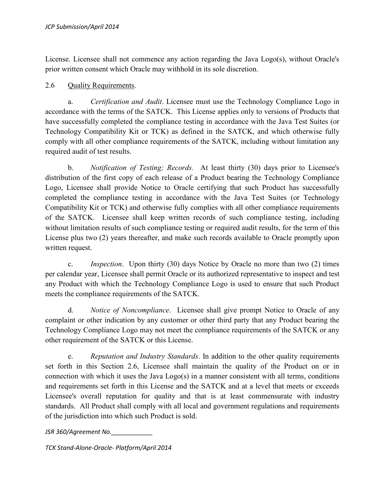License. Licensee shall not commence any action regarding the Java Logo(s), without Oracle's prior written consent which Oracle may withhold in its sole discretion.

### 2.6 Quality Requirements.

a. *Certification and Audit*. Licensee must use the Technology Compliance Logo in accordance with the terms of the SATCK. This License applies only to versions of Products that have successfully completed the compliance testing in accordance with the Java Test Suites (or Technology Compatibility Kit or TCK) as defined in the SATCK, and which otherwise fully comply with all other compliance requirements of the SATCK, including without limitation any required audit of test results.

b. *Notification of Testing; Records.* At least thirty (30) days prior to Licensee's distribution of the first copy of each release of a Product bearing the Technology Compliance Logo, Licensee shall provide Notice to Oracle certifying that such Product has successfully completed the compliance testing in accordance with the Java Test Suites (or Technology Compatibility Kit or TCK) and otherwise fully complies with all other compliance requirements of the SATCK. Licensee shall keep written records of such compliance testing, including without limitation results of such compliance testing or required audit results, for the term of this License plus two (2) years thereafter, and make such records available to Oracle promptly upon written request.

c. *Inspection*. Upon thirty (30) days Notice by Oracle no more than two (2) times per calendar year, Licensee shall permit Oracle or its authorized representative to inspect and test any Product with which the Technology Compliance Logo is used to ensure that such Product meets the compliance requirements of the SATCK.

d. *Notice of Noncompliance*. Licensee shall give prompt Notice to Oracle of any complaint or other indication by any customer or other third party that any Product bearing the Technology Compliance Logo may not meet the compliance requirements of the SATCK or any other requirement of the SATCK or this License.

e. *Reputation and Industry Standards*. In addition to the other quality requirements set forth in this Section 2.6, Licensee shall maintain the quality of the Product on or in connection with which it uses the Java Logo(s) in a manner consistent with all terms, conditions and requirements set forth in this License and the SATCK and at a level that meets or exceeds Licensee's overall reputation for quality and that is at least commensurate with industry standards. All Product shall comply with all local and government regulations and requirements of the jurisdiction into which such Product is sold.

*JSR 360/Agreement No.\_\_\_\_\_\_\_\_\_\_\_\_*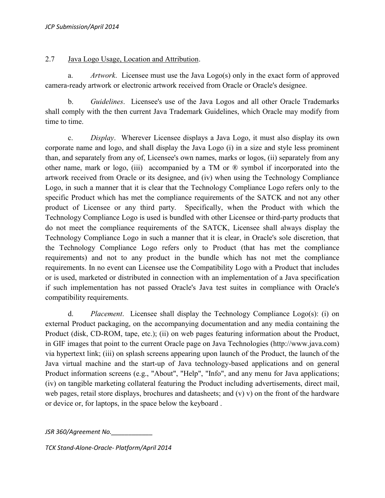### 2.7 Java Logo Usage, Location and Attribution.

a. *Artwork*. Licensee must use the Java Logo(s) only in the exact form of approved camera-ready artwork or electronic artwork received from Oracle or Oracle's designee.

b. *Guidelines*. Licensee's use of the Java Logos and all other Oracle Trademarks shall comply with the then current Java Trademark Guidelines, which Oracle may modify from time to time.

c. *Display*. Wherever Licensee displays a Java Logo, it must also display its own corporate name and logo, and shall display the Java Logo (i) in a size and style less prominent than, and separately from any of, Licensee's own names, marks or logos, (ii) separately from any other name, mark or logo, (iii) accompanied by a TM or ® symbol if incorporated into the artwork received from Oracle or its designee, and (iv) when using the Technology Compliance Logo, in such a manner that it is clear that the Technology Compliance Logo refers only to the specific Product which has met the compliance requirements of the SATCK and not any other product of Licensee or any third party. Specifically, when the Product with which the Technology Compliance Logo is used is bundled with other Licensee or third-party products that do not meet the compliance requirements of the SATCK, Licensee shall always display the Technology Compliance Logo in such a manner that it is clear, in Oracle's sole discretion, that the Technology Compliance Logo refers only to Product (that has met the compliance requirements) and not to any product in the bundle which has not met the compliance requirements. In no event can Licensee use the Compatibility Logo with a Product that includes or is used, marketed or distributed in connection with an implementation of a Java specification if such implementation has not passed Oracle's Java test suites in compliance with Oracle's compatibility requirements.

d. *Placement*. Licensee shall display the Technology Compliance Logo(s): (i) on external Product packaging, on the accompanying documentation and any media containing the Product (disk, CD-ROM, tape, etc.); (ii) on web pages featuring information about the Product, in GIF images that point to the current Oracle page on Java Technologies (http://www.java.com) via hypertext link; (iii) on splash screens appearing upon launch of the Product, the launch of the Java virtual machine and the start-up of Java technology-based applications and on general Product information screens (e.g., "About", "Help", "Info", and any menu for Java applications; (iv) on tangible marketing collateral featuring the Product including advertisements, direct mail, web pages, retail store displays, brochures and datasheets; and (v) v) on the front of the hardware or device or, for laptops, in the space below the keyboard .

*JSR 360/Agreement No.\_\_\_\_\_\_\_\_\_\_\_\_*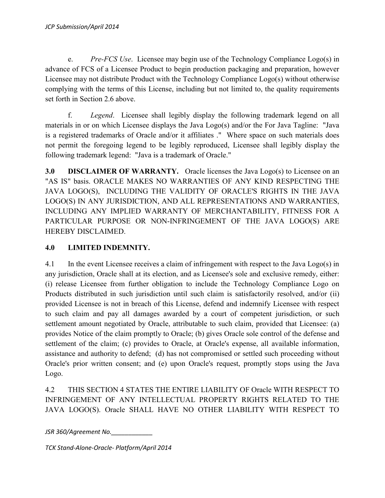e. *Pre-FCS Use*. Licensee may begin use of the Technology Compliance Logo(s) in advance of FCS of a Licensee Product to begin production packaging and preparation, however Licensee may not distribute Product with the Technology Compliance Logo(s) without otherwise complying with the terms of this License, including but not limited to, the quality requirements set forth in Section 2.6 above.

f. *Legend*. Licensee shall legibly display the following trademark legend on all materials in or on which Licensee displays the Java Logo(s) and/or the For Java Tagline: "Java is a registered trademarks of Oracle and/or it affiliates ." Where space on such materials does not permit the foregoing legend to be legibly reproduced, Licensee shall legibly display the following trademark legend: "Java is a trademark of Oracle."

**3.0 DISCLAIMER OF WARRANTY.** Oracle licenses the Java Logo(s) to Licensee on an "AS IS" basis. ORACLE MAKES NO WARRANTIES OF ANY KIND RESPECTING THE JAVA LOGO(S), INCLUDING THE VALIDITY OF ORACLE'S RIGHTS IN THE JAVA LOGO(S) IN ANY JURISDICTION, AND ALL REPRESENTATIONS AND WARRANTIES, INCLUDING ANY IMPLIED WARRANTY OF MERCHANTABILITY, FITNESS FOR A PARTICULAR PURPOSE OR NON-INFRINGEMENT OF THE JAVA LOGO(S) ARE HEREBY DISCLAIMED.

## **4.0 LIMITED INDEMNITY.**

4.1 In the event Licensee receives a claim of infringement with respect to the Java Logo(s) in any jurisdiction, Oracle shall at its election, and as Licensee's sole and exclusive remedy, either: (i) release Licensee from further obligation to include the Technology Compliance Logo on Products distributed in such jurisdiction until such claim is satisfactorily resolved, and/or (ii) provided Licensee is not in breach of this License, defend and indemnify Licensee with respect to such claim and pay all damages awarded by a court of competent jurisdiction, or such settlement amount negotiated by Oracle, attributable to such claim, provided that Licensee: (a) provides Notice of the claim promptly to Oracle; (b) gives Oracle sole control of the defense and settlement of the claim; (c) provides to Oracle, at Oracle's expense, all available information, assistance and authority to defend; (d) has not compromised or settled such proceeding without Oracle's prior written consent; and (e) upon Oracle's request, promptly stops using the Java Logo.

4.2 THIS SECTION 4 STATES THE ENTIRE LIABILITY OF Oracle WITH RESPECT TO INFRINGEMENT OF ANY INTELLECTUAL PROPERTY RIGHTS RELATED TO THE JAVA LOGO(S). Oracle SHALL HAVE NO OTHER LIABILITY WITH RESPECT TO

*JSR 360/Agreement No.\_\_\_\_\_\_\_\_\_\_\_\_*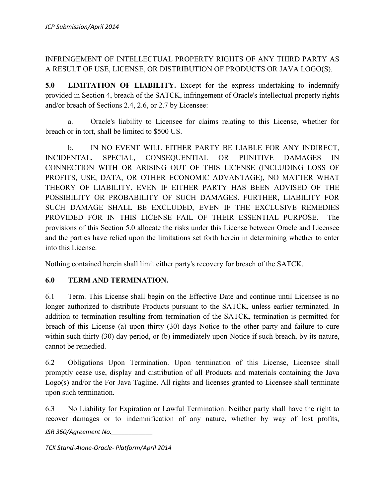# INFRINGEMENT OF INTELLECTUAL PROPERTY RIGHTS OF ANY THIRD PARTY AS A RESULT OF USE, LICENSE, OR DISTRIBUTION OF PRODUCTS OR JAVA LOGO(S).

**5.0 LIMITATION OF LIABILITY.** Except for the express undertaking to indemnify provided in Section 4, breach of the SATCK, infringement of Oracle's intellectual property rights and/or breach of Sections 2.4, 2.6, or 2.7 by Licensee:

a. Oracle's liability to Licensee for claims relating to this License, whether for breach or in tort, shall be limited to \$500 US.

b. IN NO EVENT WILL EITHER PARTY BE LIABLE FOR ANY INDIRECT, INCIDENTAL, SPECIAL, CONSEQUENTIAL OR PUNITIVE DAMAGES IN CONNECTION WITH OR ARISING OUT OF THIS LICENSE (INCLUDING LOSS OF PROFITS, USE, DATA, OR OTHER ECONOMIC ADVANTAGE), NO MATTER WHAT THEORY OF LIABILITY, EVEN IF EITHER PARTY HAS BEEN ADVISED OF THE POSSIBILITY OR PROBABILITY OF SUCH DAMAGES. FURTHER, LIABILITY FOR SUCH DAMAGE SHALL BE EXCLUDED, EVEN IF THE EXCLUSIVE REMEDIES PROVIDED FOR IN THIS LICENSE FAIL OF THEIR ESSENTIAL PURPOSE. The provisions of this Section 5.0 allocate the risks under this License between Oracle and Licensee and the parties have relied upon the limitations set forth herein in determining whether to enter into this License.

Nothing contained herein shall limit either party's recovery for breach of the SATCK.

## **6.0 TERM AND TERMINATION.**

6.1 Term. This License shall begin on the Effective Date and continue until Licensee is no longer authorized to distribute Products pursuant to the SATCK, unless earlier terminated. In addition to termination resulting from termination of the SATCK, termination is permitted for breach of this License (a) upon thirty (30) days Notice to the other party and failure to cure within such thirty (30) day period, or (b) immediately upon Notice if such breach, by its nature, cannot be remedied.

6.2 Obligations Upon Termination. Upon termination of this License, Licensee shall promptly cease use, display and distribution of all Products and materials containing the Java Logo(s) and/or the For Java Tagline. All rights and licenses granted to Licensee shall terminate upon such termination.

*JSR 360/Agreement No.\_\_\_\_\_\_\_\_\_\_\_\_* 6.3 No Liability for Expiration or Lawful Termination. Neither party shall have the right to recover damages or to indemnification of any nature, whether by way of lost profits,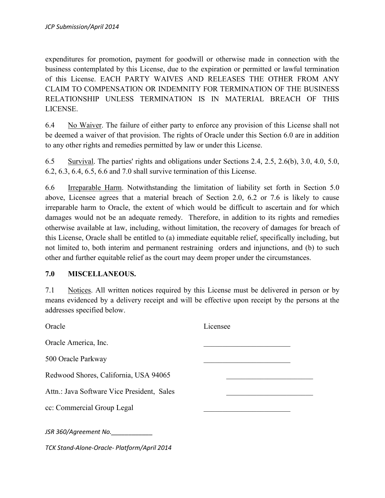expenditures for promotion, payment for goodwill or otherwise made in connection with the business contemplated by this License, due to the expiration or permitted or lawful termination of this License. EACH PARTY WAIVES AND RELEASES THE OTHER FROM ANY CLAIM TO COMPENSATION OR INDEMNITY FOR TERMINATION OF THE BUSINESS RELATIONSHIP UNLESS TERMINATION IS IN MATERIAL BREACH OF THIS LICENSE.

6.4 No Waiver. The failure of either party to enforce any provision of this License shall not be deemed a waiver of that provision. The rights of Oracle under this Section 6.0 are in addition to any other rights and remedies permitted by law or under this License.

6.5 Survival. The parties' rights and obligations under Sections 2.4, 2.5, 2.6(b), 3.0, 4.0, 5.0, 6.2, 6.3, 6.4, 6.5, 6.6 and 7.0 shall survive termination of this License.

6.6 Irreparable Harm. Notwithstanding the limitation of liability set forth in Section 5.0 above, Licensee agrees that a material breach of Section 2.0, 6.2 or 7.6 is likely to cause irreparable harm to Oracle, the extent of which would be difficult to ascertain and for which damages would not be an adequate remedy. Therefore, in addition to its rights and remedies otherwise available at law, including, without limitation, the recovery of damages for breach of this License, Oracle shall be entitled to (a) immediate equitable relief, specifically including, but not limited to, both interim and permanent restraining orders and injunctions, and (b) to such other and further equitable relief as the court may deem proper under the circumstances.

#### **7.0 MISCELLANEOUS.**

7.1 Notices. All written notices required by this License must be delivered in person or by means evidenced by a delivery receipt and will be effective upon receipt by the persons at the addresses specified below.

| Oracle                                      | Licensee |
|---------------------------------------------|----------|
| Oracle America, Inc.                        |          |
| 500 Oracle Parkway                          |          |
| Redwood Shores, California, USA 94065       |          |
| Attn.: Java Software Vice President, Sales  |          |
| cc: Commercial Group Legal                  |          |
| JSR 360/Agreement No.                       |          |
| TCK Stand-Alone-Oracle- Platform/April 2014 |          |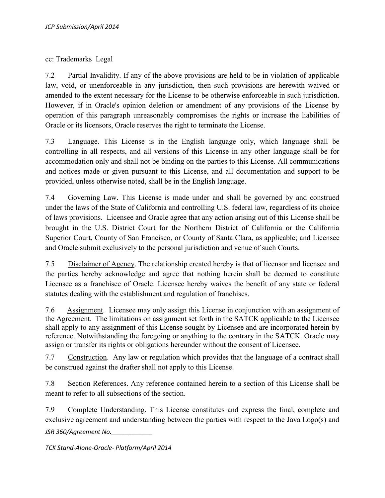cc: Trademarks Legal

7.2 Partial Invalidity. If any of the above provisions are held to be in violation of applicable law, void, or unenforceable in any jurisdiction, then such provisions are herewith waived or amended to the extent necessary for the License to be otherwise enforceable in such jurisdiction. However, if in Oracle's opinion deletion or amendment of any provisions of the License by operation of this paragraph unreasonably compromises the rights or increase the liabilities of Oracle or its licensors, Oracle reserves the right to terminate the License.

7.3 Language. This License is in the English language only, which language shall be controlling in all respects, and all versions of this License in any other language shall be for accommodation only and shall not be binding on the parties to this License. All communications and notices made or given pursuant to this License, and all documentation and support to be provided, unless otherwise noted, shall be in the English language.

7.4 Governing Law. This License is made under and shall be governed by and construed under the laws of the State of California and controlling U.S. federal law, regardless of its choice of laws provisions. Licensee and Oracle agree that any action arising out of this License shall be brought in the U.S. District Court for the Northern District of California or the California Superior Court, County of San Francisco, or County of Santa Clara, as applicable; and Licensee and Oracle submit exclusively to the personal jurisdiction and venue of such Courts.

7.5 Disclaimer of Agency. The relationship created hereby is that of licensor and licensee and the parties hereby acknowledge and agree that nothing herein shall be deemed to constitute Licensee as a franchisee of Oracle. Licensee hereby waives the benefit of any state or federal statutes dealing with the establishment and regulation of franchises.

7.6 Assignment. Licensee may only assign this License in conjunction with an assignment of the Agreement. The limitations on assignment set forth in the SATCK applicable to the Licensee shall apply to any assignment of this License sought by Licensee and are incorporated herein by reference. Notwithstanding the foregoing or anything to the contrary in the SATCK. Oracle may assign or transfer its rights or obligations hereunder without the consent of Licensee.

7.7 Construction. Any law or regulation which provides that the language of a contract shall be construed against the drafter shall not apply to this License.

7.8 Section References. Any reference contained herein to a section of this License shall be meant to refer to all subsections of the section.

*JSR 360/Agreement No.\_\_\_\_\_\_\_\_\_\_\_\_* 7.9 Complete Understanding. This License constitutes and express the final, complete and exclusive agreement and understanding between the parties with respect to the Java Logo(s) and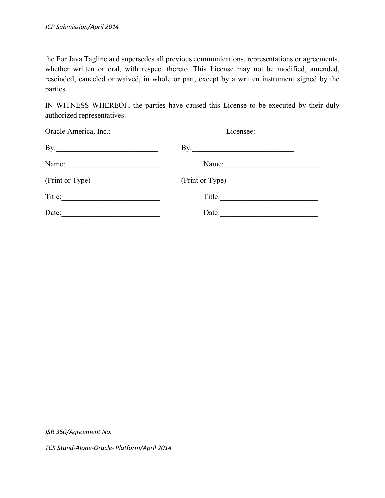the For Java Tagline and supersedes all previous communications, representations or agreements, whether written or oral, with respect thereto. This License may not be modified, amended, rescinded, canceled or waived, in whole or part, except by a written instrument signed by the parties.

IN WITNESS WHEREOF, the parties have caused this License to be executed by their duly authorized representatives.

| Oracle America, Inc.: | Licensee:           |  |
|-----------------------|---------------------|--|
| By: $\qquad \qquad$   | By: $\qquad \qquad$ |  |
| Name:                 | Name:               |  |
| (Print or Type)       | (Print or Type)     |  |
| Title:                | Title:              |  |
| Date:                 | Date:               |  |

*JSR 360/Agreement No.\_\_\_\_\_\_\_\_\_\_\_\_*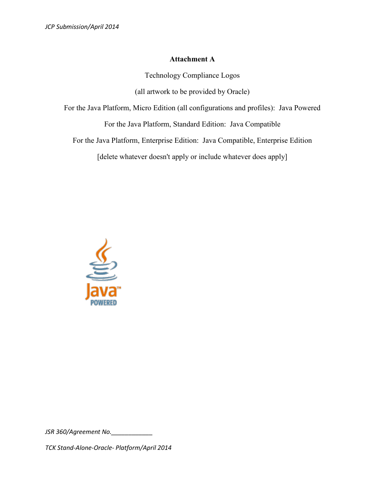### **Attachment A**

Technology Compliance Logos

(all artwork to be provided by Oracle)

For the Java Platform, Micro Edition (all configurations and profiles): Java Powered

For the Java Platform, Standard Edition: Java Compatible

For the Java Platform, Enterprise Edition: Java Compatible, Enterprise Edition

[delete whatever doesn't apply or include whatever does apply]



*JSR 360/Agreement No.\_\_\_\_\_\_\_\_\_\_\_\_*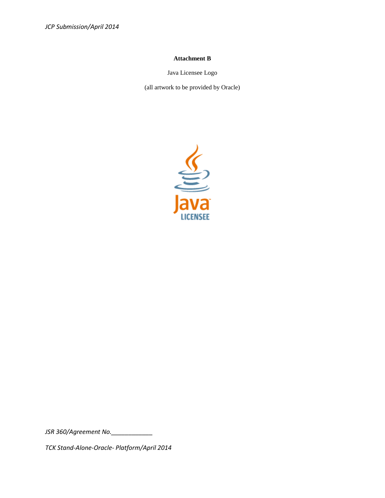#### **Attachment B**

Java Licensee Logo

(all artwork to be provided by Oracle)



*JSR 360/Agreement No.\_\_\_\_\_\_\_\_\_\_\_\_*